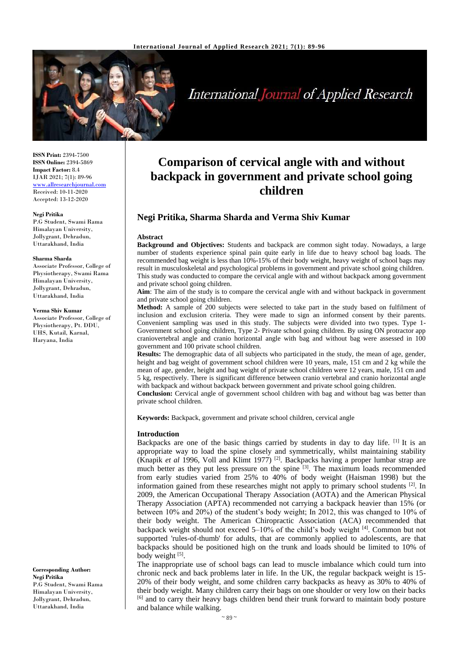

International Journal of Applied Research

**ISSN Print:** 2394-7500 **ISSN Online:** 2394-5869 **Impact Factor:** 8.4 IJAR 2021; 7(1): 89-96 <www.allresearchjournal.com> Received: 10-11-2020 Accepted: 13-12-2020

#### **Negi Pritika**

P.G Student, Swami Rama Himalayan University, Jollygrant, Dehradun, Uttarakhand, India

#### **Sharma Sharda**

Associate Professor, College of Physiotherapy, Swami Rama Himalayan University, Jollygrant, Dehradun, Uttarakhand, India

#### **Verma Shiv Kumar**

Associate Professor, College of Physiotherapy, Pt. DDU, UHS, Kutail, Karnal, Haryana, India

**Corresponding Author: Negi Pritika** P.G Student, Swami Rama Himalayan University, Jollygrant, Dehradun, Uttarakhand, India

# **Comparison of cervical angle with and without backpack in government and private school going children**

# **Negi Pritika, Sharma Sharda and Verma Shiv Kumar**

#### **Abstract**

**Background and Objectives:** Students and backpack are common sight today. Nowadays, a large number of students experience spinal pain quite early in life due to heavy school bag loads. The recommended bag weight is less than 10%-15% of their body weight, heavy weight of school bags may result in musculoskeletal and psychological problems in government and private school going children. This study was conducted to compare the cervical angle with and without backpack among government and private school going children.

**Aim**: The aim of the study is to compare the cervical angle with and without backpack in government and private school going children.

**Method:** A sample of 200 subjects were selected to take part in the study based on fulfilment of inclusion and exclusion criteria. They were made to sign an informed consent by their parents. Convenient sampling was used in this study. The subjects were divided into two types. Type 1- Government school going children, Type 2- Private school going children. By using ON protractor app craniovertebral angle and cranio horizontal angle with bag and without bag were assessed in 100 government and 100 private school children.

**Results:** The demographic data of all subjects who participated in the study, the mean of age, gender, height and bag weight of government school children were 10 years, male, 151 cm and 2 kg while the mean of age, gender, height and bag weight of private school children were 12 years, male, 151 cm and 5 kg, respectively. There is significant difference between cranio vertebral and cranio horizontal angle with backpack and without backpack between government and private school going children.

**Conclusion:** Cervical angle of government school children with bag and without bag was better than private school children.

**Keywords:** Backpack, government and private school children, cervical angle

#### **Introduction**

Backpacks are one of the basic things carried by students in day to day life. [1] It is an appropriate way to load the spine closely and symmetrically, whilst maintaining stability (Knapik *et al* 1996, Voll and Klimt 1977)<sup>[2]</sup>. Backpacks having a proper lumbar strap are much better as they put less pressure on the spine <sup>[3]</sup>. The maximum loads recommended from early studies varied from 25% to 40% of body weight (Haisman 1998) but the information gained from these researches might not apply to primary school students  $[2]$ . In 2009, the American Occupational Therapy Association (AOTA) and the American Physical Therapy Association (APTA) recommended not carrying a backpack heavier than 15% (or between 10% and 20%) of the student's body weight; In 2012, this was changed to 10% of their body weight. The American Chiropractic Association (ACA) recommended that backpack weight should not exceed 5-10% of the child's body weight [4]. Common but not supported 'rules-of-thumb' for adults, that are commonly applied to adolescents, are that backpacks should be positioned high on the trunk and loads should be limited to 10% of body weight [5].

The inappropriate use of school bags can lead to muscle imbalance which could turn into chronic neck and back problems later in life. In the UK, the regular backpack weight is 15- 20% of their body weight, and some children carry backpacks as heavy as 30% to 40% of their body weight. Many children carry their bags on one shoulder or very low on their backs <sup>[6]</sup> and to carry their heavy bags children bend their trunk forward to maintain body posture and balance while walking.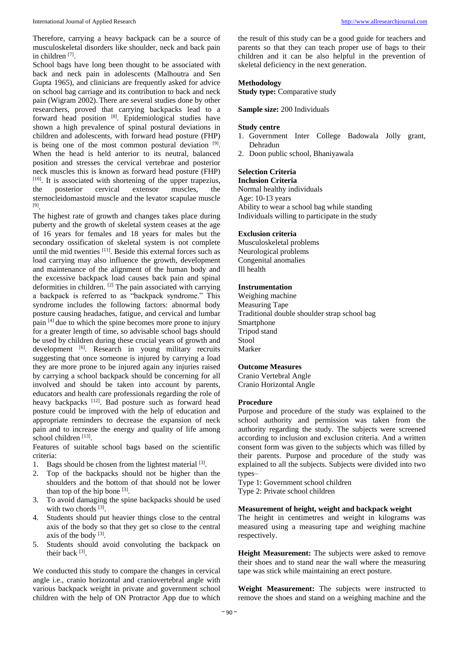Therefore, carrying a heavy backpack can be a source of musculoskeletal disorders like shoulder, neck and back pain in children [7].

School bags have long been thought to be associated with back and neck pain in adolescents (Malhoutra and Sen Gupta 1965), and clinicians are frequently asked for advice on school bag carriage and its contribution to back and neck pain (Wigram 2002). There are several studies done by other researchers, proved that carrying backpacks lead to a forward head position [8]. Epidemiological studies have shown a high prevalence of spinal postural deviations in children and adolescents, with forward head posture (FHP) is being one of the most common postural deviation [9]. When the head is held anterior to its neutral, balanced position and stresses the cervical vertebrae and posterior neck muscles this is known as forward head posture (FHP) [10]. It is associated with shortening of the upper trapezius, the posterior cervical extensor muscles, the sternocleidomastoid muscle and the levator scapulae muscle [9] .

The highest rate of growth and changes takes place during puberty and the growth of skeletal system ceases at the age of 16 years for females and 18 years for males but the secondary ossification of skeletal system is not complete until the mid twenties [11] . Beside this external forces such as load carrying may also influence the growth, development and maintenance of the alignment of the human body and the excessive backpack load causes back pain and spinal deformities in children. <sup>[2]</sup> The pain associated with carrying a backpack is referred to as "backpack syndrome." This syndrome includes the following factors: abnormal body posture causing headaches, fatigue, and cervical and lumbar pain [4] due to which the spine becomes more prone to injury for a greater length of time, so advisable school bags should be used by children during these crucial years of growth and development <sup>[6]</sup>. Research in young military recruits suggesting that once someone is injured by carrying a load they are more prone to be injured again any injuries raised by carrying a school backpack should be concerning for all involved and should be taken into account by parents, educators and health care professionals regarding the role of heavy backpacks [12]. Bad posture such as forward head posture could be improved with the help of education and appropriate reminders to decrease the expansion of neck pain and to increase the energy and quality of life among school children [13].

Features of suitable school bags based on the scientific criteria:

- 1. Bags should be chosen from the lightest material [3].
- 2. Top of the backpacks should not be higher than the shoulders and the bottom of that should not be lower than top of the hip bone  $[3]$ .
- 3. To avoid damaging the spine backpacks should be used with two chords [3].
- 4. Students should put heavier things close to the central axis of the body so that they get so close to the central axis of the body  $[3]$ .
- 5. Students should avoid convoluting the backpack on their back [3].

We conducted this study to compare the changes in cervical angle i.e., cranio horizontal and craniovertebral angle with various backpack weight in private and government school children with the help of ON Protractor App due to which

the result of this study can be a good guide for teachers and parents so that they can teach proper use of bags to their children and it can be also helpful in the prevention of skeletal deficiency in the next generation.

#### **Methodology**

**Study type: Comparative study** 

#### **Sample size:** 200 Individuals

#### **Study centre**

- 1. Government Inter College Badowala Jolly grant, Dehradun
- 2. Doon public school, Bhaniyawala

#### **Selection Criteria Inclusion Criteria**

Normal healthy individuals Age: 10-13 years Ability to wear a school bag while standing Individuals willing to participate in the study

#### **Exclusion criteria**

Musculoskeletal problems Neurological problems Congenital anomalies Ill health

## **Instrumentation**

Weighing machine Measuring Tape Traditional double shoulder strap school bag Smartphone Tripod stand Stool Marker

## **Outcome Measures**

Cranio Vertebral Angle Cranio Horizontal Angle

#### **Procedure**

Purpose and procedure of the study was explained to the school authority and permission was taken from the authority regarding the study. The subjects were screened according to inclusion and exclusion criteria. And a written consent form was given to the subjects which was filled by their parents. Purpose and procedure of the study was explained to all the subjects. Subjects were divided into two types–

Type 1: Government school children

Type 2: Private school children

#### **Measurement of height, weight and backpack weight**

The height in centimetres and weight in kilograms was measured using a measuring tape and weighing machine respectively.

**Height Measurement:** The subjects were asked to remove their shoes and to stand near the wall where the measuring tape was stick while maintaining an erect posture.

**Weight Measurement:** The subjects were instructed to remove the shoes and stand on a weighing machine and the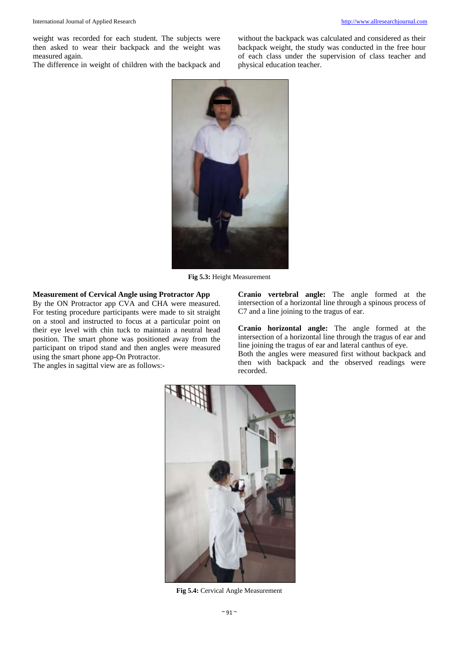weight was recorded for each student. The subjects were then asked to wear their backpack and the weight was measured again.

The difference in weight of children with the backpack and

without the backpack was calculated and considered as their backpack weight, the study was conducted in the free hour of each class under the supervision of class teacher and physical education teacher.



**Fig 5.3:** Height Measurement

# **Measurement of Cervical Angle using Protractor App**

By the ON Protractor app CVA and CHA were measured. For testing procedure participants were made to sit straight on a stool and instructed to focus at a particular point on their eye level with chin tuck to maintain a neutral head position. The smart phone was positioned away from the participant on tripod stand and then angles were measured using the smart phone app-On Protractor.

The angles in sagittal view are as follows:-

**Cranio vertebral angle:** The angle formed at the intersection of a horizontal line through a spinous process of C7 and a line joining to the tragus of ear.

**Cranio horizontal angle:** The angle formed at the intersection of a horizontal line through the tragus of ear and line joining the tragus of ear and lateral canthus of eye.

Both the angles were measured first without backpack and then with backpack and the observed readings were recorded.



**Fig 5.4:** Cervical Angle Measurement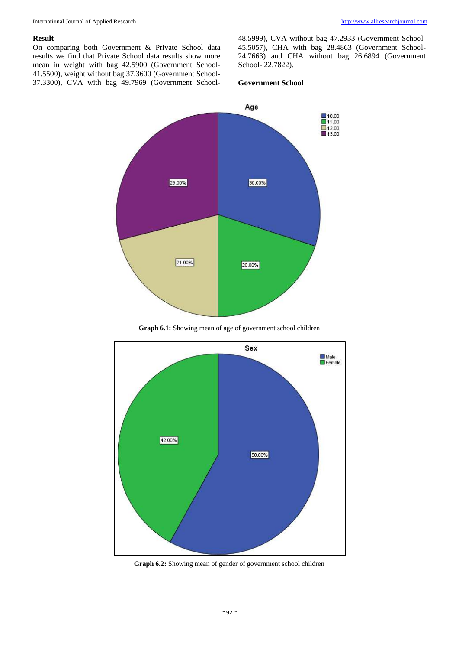#### **Result**

On comparing both Government & Private School data results we find that Private School data results show more mean in weight with bag 42.5900 (Government School-41.5500), weight without bag 37.3600 (Government School-37.3300), CVA with bag 49.7969 (Government School48.5999), CVA without bag 47.2933 (Government School-45.5057), CHA with bag 28.4863 (Government School-24.7663) and CHA without bag 26.6894 (Government School- 22.7822).

#### **Government School**



**Graph 6.1:** Showing mean of age of government school children



**Graph 6.2:** Showing mean of gender of government school children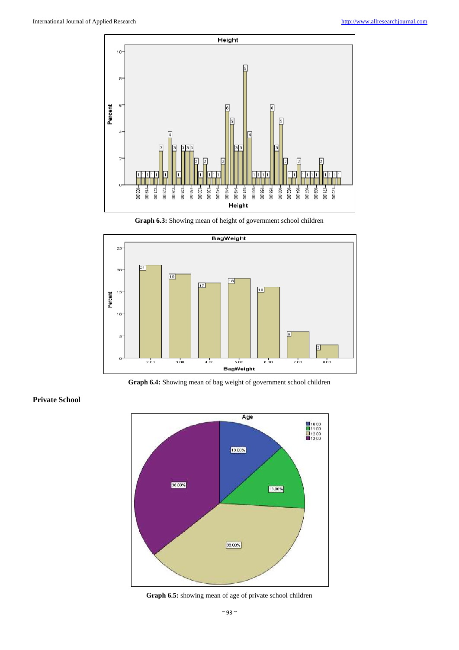

**Graph 6.3:** Showing mean of height of government school children



**Graph 6.4:** Showing mean of bag weight of government school children

**Private School**



**Graph 6.5:** showing mean of age of private school children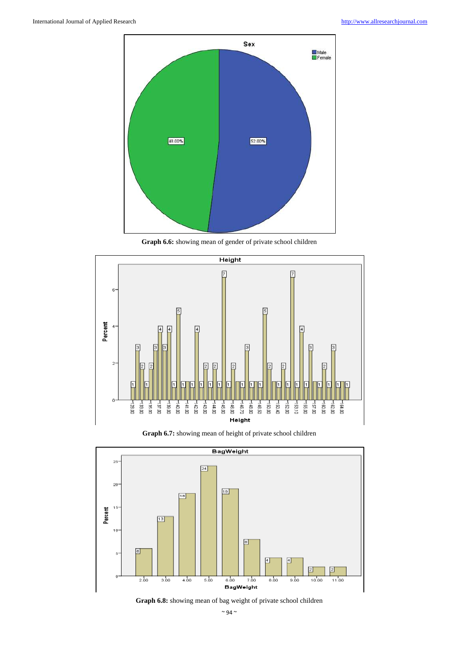

**Graph 6.6:** showing mean of gender of private school children



**Graph 6.7:** showing mean of height of private school children



**Graph 6.8:** showing mean of bag weight of private school children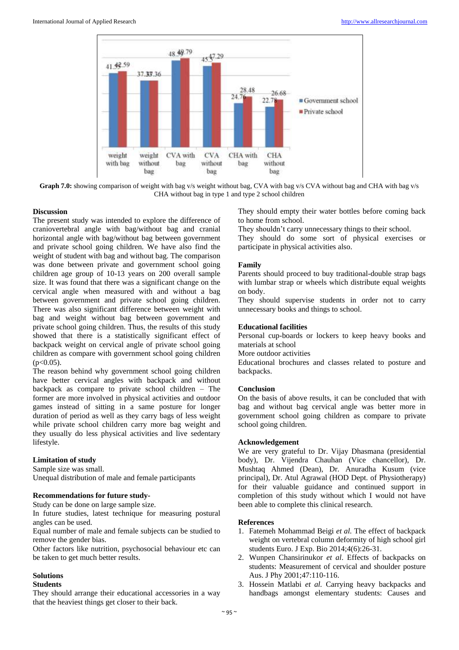

**Graph 7.0:** showing comparison of weight with bag v/s weight without bag, CVA with bag v/s CVA without bag and CHA with bag v/s CHA without bag in type 1 and type 2 school children

#### **Discussion**

The present study was intended to explore the difference of craniovertebral angle with bag/without bag and cranial horizontal angle with bag/without bag between government and private school going children. We have also find the weight of student with bag and without bag. The comparison was done between private and government school going children age group of 10-13 years on 200 overall sample size. It was found that there was a significant change on the cervical angle when measured with and without a bag between government and private school going children. There was also significant difference between weight with bag and weight without bag between government and private school going children. Thus, the results of this study showed that there is a statistically significant effect of backpack weight on cervical angle of private school going children as compare with government school going children  $(p<0.05)$ .

The reason behind why government school going children have better cervical angles with backpack and without backpack as compare to private school children – The former are more involved in physical activities and outdoor games instead of sitting in a same posture for longer duration of period as well as they carry bags of less weight while private school children carry more bag weight and they usually do less physical activities and live sedentary lifestyle.

## **Limitation of study**

Sample size was small.

Unequal distribution of male and female participants

#### **Recommendations for future study-**

Study can be done on large sample size.

In future studies, latest technique for measuring postural angles can be used.

Equal number of male and female subjects can be studied to remove the gender bias.

Other factors like nutrition, psychosocial behaviour etc can be taken to get much better results.

# **Solutions**

#### **Students**

They should arrange their educational accessories in a way that the heaviest things get closer to their back.

They should empty their water bottles before coming back to home from school.

They shouldn't carry unnecessary things to their school.

They should do some sort of physical exercises or participate in physical activities also.

## **Family**

Parents should proceed to buy traditional-double strap bags with lumbar strap or wheels which distribute equal weights on body.

They should supervise students in order not to carry unnecessary books and things to school.

## **Educational facilities**

Personal cup-boards or lockers to keep heavy books and materials at school

More outdoor activities

Educational brochures and classes related to posture and backpacks.

## **Conclusion**

On the basis of above results, it can be concluded that with bag and without bag cervical angle was better more in government school going children as compare to private school going children.

## **Acknowledgement**

We are very grateful to Dr. Vijay Dhasmana (presidential body), Dr. Vijendra Chauhan (Vice chancellor), Dr. Mushtaq Ahmed (Dean), Dr. Anuradha Kusum (vice principal), Dr. Atul Agrawal (HOD Dept. of Physiotherapy) for their valuable guidance and continued support in completion of this study without which I would not have been able to complete this clinical research.

### **References**

- 1. Fatemeh Mohammad Beigi *et al.* The effect of backpack weight on vertebral column deformity of high school girl students Euro. J Exp. Bio 2014;4(6):26-31.
- 2. Wunpen Chansirinukor *et al*. Effects of backpacks on students: Measurement of cervical and shoulder posture Aus. J Phy 2001;47:110-116.
- 3. Hossein Matlabi *et al.* Carrying heavy backpacks and handbags amongst elementary students: Causes and